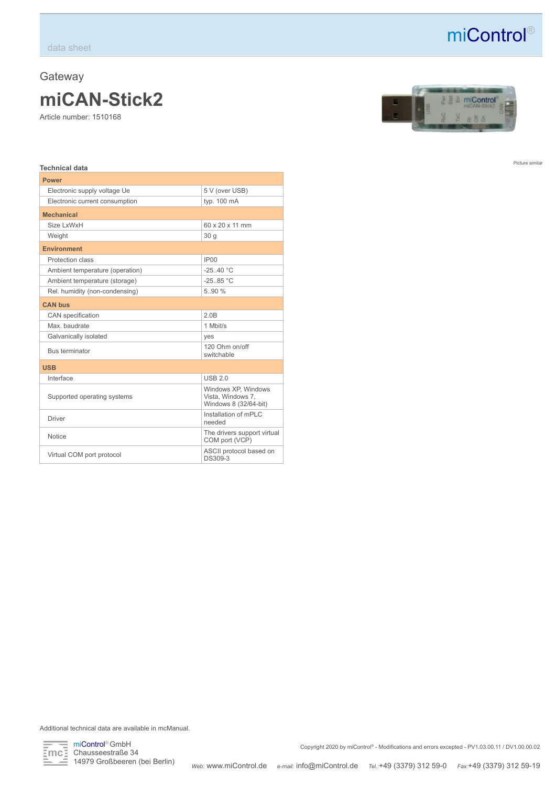## **Gateway miCAN-Stick2**

Article number: 1510168



miControl®

Picture similar

## **Technical data**

| <b>Power</b>                    |                                                                   |  |  |
|---------------------------------|-------------------------------------------------------------------|--|--|
| Electronic supply voltage Ue    | 5 V (over USB)                                                    |  |  |
| Electronic current consumption  | typ. 100 mA                                                       |  |  |
| <b>Mechanical</b>               |                                                                   |  |  |
| Size I xWxH                     | 60 x 20 x 11 mm                                                   |  |  |
| Weight                          | 30q                                                               |  |  |
| <b>Environment</b>              |                                                                   |  |  |
| Protection class                | IP <sub>00</sub>                                                  |  |  |
| Ambient temperature (operation) | $-25$ 40 °C                                                       |  |  |
| Ambient temperature (storage)   | $-25.85 °C$                                                       |  |  |
| Rel. humidity (non-condensing)  | 5.90%                                                             |  |  |
| <b>CAN bus</b>                  |                                                                   |  |  |
| CAN specification               | 2.0B                                                              |  |  |
| Max. baudrate                   | 1 Mbit/s                                                          |  |  |
| Galvanically isolated           | yes                                                               |  |  |
| <b>Bus terminator</b>           | 120 Ohm on/off<br>switchable                                      |  |  |
| <b>USB</b>                      |                                                                   |  |  |
| Interface                       | <b>USB 2.0</b>                                                    |  |  |
| Supported operating systems     | Windows XP, Windows<br>Vista, Windows 7,<br>Windows 8 (32/64-bit) |  |  |
| <b>Driver</b>                   | Installation of mPLC<br>needed                                    |  |  |
| Notice                          | The drivers support virtual<br>COM port (VCP)                     |  |  |
| Virtual COM port protocol       | ASCII protocol based on<br>DS309-3                                |  |  |

Additional technical data are available in mcManual.



miControl® GmbH Chausseestraße 34 14979 Großbeeren (bei Berlin)

Copyright 2020 by miControl® - Modifications and errors excepted - PV1.03.00.11 / DV1.00.00.02